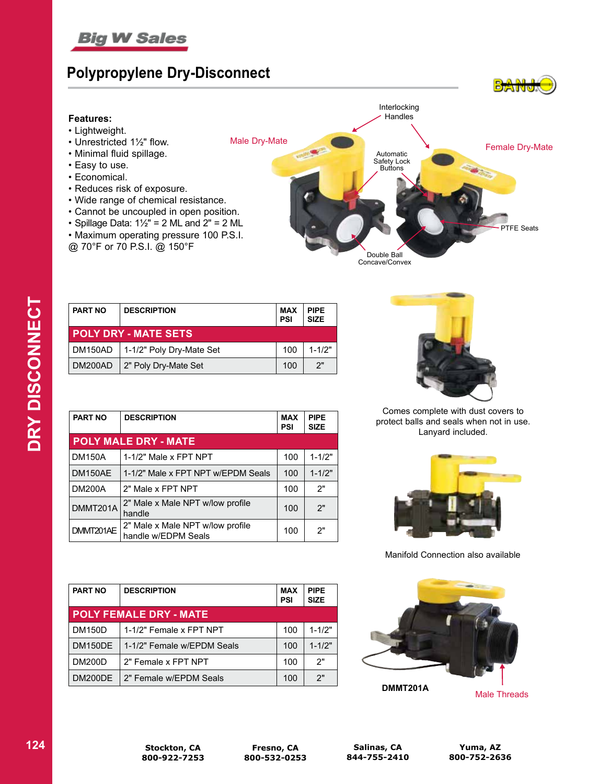

### **Polypropylene Dry-Disconnect**

### **Features:**

- Lightweight.
- Unrestricted 1½" flow.
- Minimal fluid spillage.
- Easy to use.
- Economical.
- Reduces risk of exposure.
- Wide range of chemical resistance.
- Cannot be uncoupled in open position.
- Spillage Data:  $1\frac{1}{2}$ " = 2 ML and  $2$ " = 2 ML
- Maximum operating pressure 100 P.S.I.
- @ 70°F or 70 P.S.I. @ 150°F



| <b>PART NO</b>              | <b>DESCRIPTION</b>       | <b>MAX</b><br><b>PSI</b> | <b>PIPE</b><br><b>SIZE</b> |
|-----------------------------|--------------------------|--------------------------|----------------------------|
| <b>POLY DRY - MATE SETS</b> |                          |                          |                            |
| DM150AD                     | 1-1/2" Poly Dry-Mate Set | 100                      | $1 - 1/2"$                 |
| DM200AD                     | 2" Poly Dry-Mate Set     | 100                      | 2"                         |

| <b>PART NO</b> | <b>DESCRIPTION</b>                                      |     | <b>PIPE</b><br><b>SIZE</b> |
|----------------|---------------------------------------------------------|-----|----------------------------|
|                | <b>POLY MALE DRY - MATE</b>                             |     |                            |
| <b>DM150A</b>  | 1-1/2" Male x FPT NPT                                   | 100 | $1 - 1/2"$                 |
| DM150AE        | 1-1/2" Male x FPT NPT w/EPDM Seals                      | 100 | $1 - 1/2"$                 |
| <b>DM200A</b>  | 2" Male x FPT NPT<br>100                                |     | 2"                         |
| DMMT201A       | 2" Male x Male NPT w/low profile<br>handle              |     | 2"                         |
| DMMT201AE      | 2" Male x Male NPT w/low profile<br>handle w/EDPM Seals | 100 | 2"                         |

| <b>PART NO</b> | <b>DESCRIPTION</b>            | <b>MAX</b><br><b>PSI</b> | <b>PIPE</b><br><b>SIZE</b> |
|----------------|-------------------------------|--------------------------|----------------------------|
|                | <b>POLY FEMALE DRY - MATE</b> |                          |                            |
| <b>DM150D</b>  | 1-1/2" Female x FPT NPT       | 100                      | $1 - 1/2"$                 |
| <b>DM150DE</b> | 1-1/2" Female w/EPDM Seals    | 100                      | $1 - 1/2"$                 |
| <b>DM200D</b>  | 2" Female x FPT NPT<br>100    |                          | 2"                         |
| DM200DE        | 2" Female w/EPDM Seals        | 100                      | 2"                         |



Comes complete with dust covers to protect balls and seals when not in use. Lanyard included.



Manifold Connection also available



Male Threads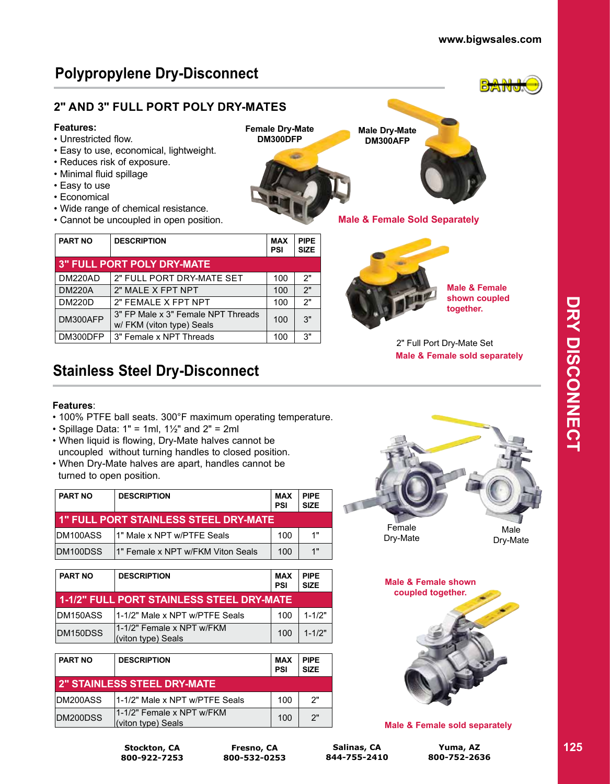**Male & Female shown coupled together.**

**Male Dry-Mate DM300AFP**

**Male & Female Sold Separately**

**Female Dry-Mate DM300DFP**

a m

# **Polypropylene Dry-Disconnect**

### **2" AND 3" FULL PORT POLY DRY-MATES**

### **Features:**

- Unrestricted flow.
- Easy to use, economical, lightweight.
- Reduces risk of exposure.
- Minimal fluid spillage
- Easy to use
- Economical
- Wide range of chemical resistance.
- Cannot be uncoupled in open position.

| <b>PART NO</b> | <b>DESCRIPTION</b>                                                     |     | <b>PIPE</b><br><b>SIZE</b> |
|----------------|------------------------------------------------------------------------|-----|----------------------------|
|                | <b>3" FULL PORT POLY DRY-MATE</b>                                      |     |                            |
| DM220AD        | 2" FULL PORT DRY-MATE SET                                              | 100 | 2"                         |
| <b>DM220A</b>  | 2" MALE X FPT NPT                                                      | 100 | 2"                         |
| <b>DM220D</b>  | 2" FEMALE X FPT NPT                                                    | 100 | 2"                         |
| DM300AFP       | 3" FP Male x 3" Female NPT Threads<br>100<br>w/ FKM (viton type) Seals |     | 3"                         |
| DM300DFP       | 3" Female x NPT Threads                                                | 100 | 3"                         |

## **Stainless Steel Dry-Disconnect**

### **Features**:

- 100% PTFE ball seats. 300°F maximum operating temperature.
- Spillage Data:  $1" = 1ml$ ,  $1½"$  and  $2" = 2ml$
- When liquid is flowing, Dry-Mate halves cannot be uncoupled without turning handles to closed position.
- When Dry-Mate halves are apart, handles cannot be turned to open position.

| <b>PART NO</b> | <b>DESCRIPTION</b>                           | MAX<br><b>PSI</b> | <b>PIPE</b><br><b>SIZE</b> |
|----------------|----------------------------------------------|-------------------|----------------------------|
|                | <b>1" FULL PORT STAINLESS STEEL DRY-MATE</b> |                   |                            |
| IDM100ASS      | 11" Male x NPT w/PTFE Seals                  | 100               | 1"                         |
| DM100DSS       | 11" Female x NPT w/FKM Viton Seals           | 100               | 1"                         |

| <b>PART NO</b>  | <b>DESCRIPTION</b>                               |     | <b>PIPE</b><br><b>SIZE</b> |
|-----------------|--------------------------------------------------|-----|----------------------------|
|                 | 1-1/2" FULL PORT STAINLESS STEEL DRY-MATE        |     |                            |
| <b>DM150ASS</b> | 11-1/2" Male x NPT w/PTFE Seals                  | 100 | $1 - 1/2"$                 |
| DM150DSS        | 11-1/2" Female x NPT w/FKM<br>(viton type) Seals | 100 | $1 - 1/2"$                 |

| <b>PART NO</b> | <b>DESCRIPTION</b>                              |     | <b>PIPE</b><br><b>SIZE</b> |
|----------------|-------------------------------------------------|-----|----------------------------|
|                | <b>2" STAINLESS STEEL DRY-MATE</b>              |     |                            |
| DM200ASS       | 11-1/2" Male x NPT w/PTFE Seals                 | 100 | 2"                         |
| DM200DSS       | 1-1/2" Female x NPT w/FKM<br>(viton type) Seals | 100 | 2"                         |



2" Full Port Dry-Mate Set

**Male & Female sold separately** 

Dry-Mate

Male Dry-Mate



### **Male & Female sold separately**

**Stockton, CA 800-922-7253**

**Fresno, CA 800-532-0253**

**Salinas, CA 844-755-2410**

**Yuma, AZ 800-752-2636**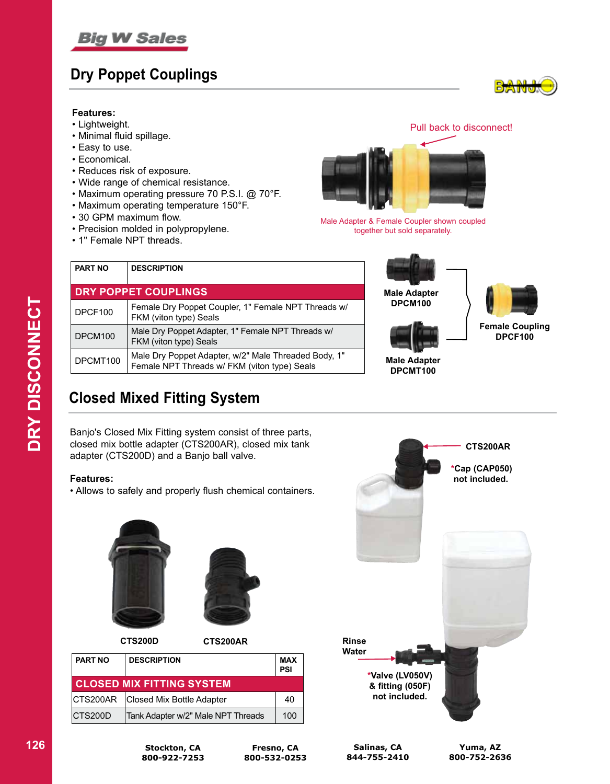

### **Dry Poppet Couplings**

#### **Features:**

- Lightweight.
- Minimal fluid spillage.
- Easy to use.
- Economical.
- Reduces risk of exposure.
- Wide range of chemical resistance.
- Maximum operating pressure 70 P.S.I. @ 70°F.
- Maximum operating temperature 150°F.
- 30 GPM maximum flow.
- Precision molded in polypropylene.
- 1" Female NPT threads.

Pull back to disconnect!



Male Adapter & Female Coupler shown coupled together but sold separately.

| <b>PART NO</b>       | <b>DESCRIPTION</b>                                                                                   |
|----------------------|------------------------------------------------------------------------------------------------------|
| DRY POPPET COUPLINGS |                                                                                                      |
| DPCF100              | Female Dry Poppet Coupler, 1" Female NPT Threads w/<br>FKM (viton type) Seals                        |
| DPCM100              | Male Dry Poppet Adapter, 1" Female NPT Threads w/<br>FKM (viton type) Seals                          |
| DPCMT100             | Male Dry Poppet Adapter, w/2" Male Threaded Body, 1"<br>Female NPT Threads w/ FKM (viton type) Seals |





**Male Adapter DPCMT100**



**Female Coupling DPCF100**

### **Closed Mixed Fitting System**

Banjo's Closed Mix Fitting system consist of three parts, closed mix bottle adapter (CTS200AR), closed mix tank adapter (CTS200D) and a Banjo ball valve.

#### **Features:**

• Allows to safely and properly flush chemical containers.





**CTS200D CTS200AR**

| <b>PART NO</b> | <b>DESCRIPTION</b>                 | <b>MAX</b><br>PSI |
|----------------|------------------------------------|-------------------|
|                | <b>CLOSED MIX FITTING SYSTEM</b>   |                   |
|                | CTS200AR Closed Mix Bottle Adapter | 40                |
| CTS200D        | Tank Adapter w/2" Male NPT Threads | 100               |



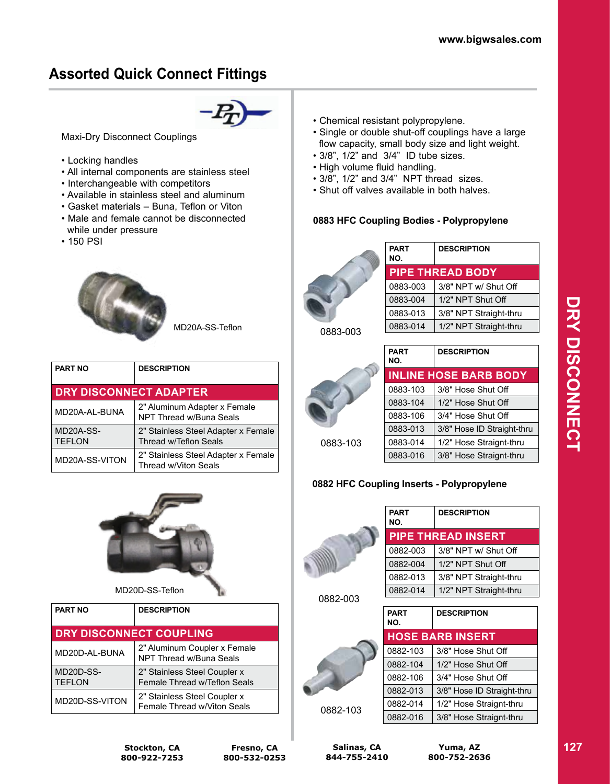### **Assorted Quick Connect Fittings**



Maxi-Dry Disconnect Couplings

- Locking handles
- All internal components are stainless steel
- Interchangeable with competitors
- Available in stainless steel and aluminum
- Gasket materials Buna, Teflon or Viton
- Male and female cannot be disconnected while under pressure
- 150 PSI



MD20A-SS-Teflon

| <b>PART NO</b>                | <b>DESCRIPTION</b>                                                  |  |
|-------------------------------|---------------------------------------------------------------------|--|
| <b>DRY DISCONNECT ADAPTER</b> |                                                                     |  |
| MD20A-AL-BUNA                 | 2" Aluminum Adapter x Female<br>NPT Thread w/Buna Seals             |  |
| MD20A-SS-<br><b>TEFLON</b>    | 2" Stainless Steel Adapter x Female<br><b>Thread w/Teflon Seals</b> |  |
| MD20A-SS-VITON                | 2" Stainless Steel Adapter x Female<br>Thread w/Viton Seals         |  |



MD20D-SS-Teflon

| <b>PART NO</b>             | <b>DESCRIPTION</b>                                           |
|----------------------------|--------------------------------------------------------------|
| DRY DISCONNECT COUPLING    |                                                              |
| MD20D-AL-BUNA              | 2" Aluminum Coupler x Female<br>NPT Thread w/Buna Seals      |
| MD20D-SS-<br><b>TEFLON</b> | 2" Stainless Steel Coupler x<br>Female Thread w/Teflon Seals |
| MD20D-SS-VITON             | 2" Stainless Steel Coupler x<br>Female Thread w/Viton Seals  |

- Chemical resistant polypropylene.
- Single or double shut-off couplings have a large flow capacity, small body size and light weight.
- 3/8", 1/2" and 3/4" ID tube sizes.
- High volume fluid handling.
- 3/8", 1/2" and 3/4" NPT thread sizes.
- Shut off valves available in both halves.

#### **0883 HFC Coupling Bodies - Polypropylene**



| <b>PART</b><br>NO. | <b>DESCRIPTION</b>      |
|--------------------|-------------------------|
|                    | <b>PIPE THREAD BODY</b> |
| 0883-003           | 3/8" NPT w/ Shut Off    |
| 0883-004           | 1/2" NPT Shut Off       |
| 0883-013           | 3/8" NPT Straight-thru  |
| 0883-014           | 1/2" NPT Straight-thru  |

0883-003



| <b>PART</b><br>NO. | <b>DESCRIPTION</b>           |
|--------------------|------------------------------|
|                    | <b>INLINE HOSE BARB BODY</b> |
| 0883-103           | 3/8" Hose Shut Off           |
| 0883-104           | 1/2" Hose Shut Off           |
| 0883-106           | 3/4" Hose Shut Off           |
| 0883-013           | 3/8" Hose ID Straight-thru   |
| 0883-014           | 1/2" Hose Straignt-thru      |
| 0883-016           | 3/8" Hose Straignt-thru      |
|                    |                              |

### **0882 HFC Coupling Inserts - Polypropylene**



| PART<br>NO. | <b>DESCRIPTION</b>        |
|-------------|---------------------------|
|             | <b>PIPE THREAD INSERT</b> |
| 0882-003    | 3/8" NPT w/ Shut Off      |
| 0882-004    | 1/2" NPT Shut Off         |
| 0882-013    | 3/8" NPT Straight-thru    |
| 0882-014    | 1/2" NPT Straight-thru    |
|             |                           |
| PART<br>הוא | <b>DESCRIPTION</b>        |

0882-003



| <b>PART</b><br>NO. | <b>DESCRIPTION</b>         |
|--------------------|----------------------------|
|                    | <b>HOSE BARB INSERT</b>    |
| 0882-103           | 3/8" Hose Shut Off         |
| 0882-104           | 1/2" Hose Shut Off         |
| 0882-106           | 3/4" Hose Shut Off         |
| 0882-013           | 3/8" Hose ID Straight-thru |
| 0882-014           | 1/2" Hose Straignt-thru    |
| 0882-016           | 3/8" Hose Straignt-thru    |
|                    |                            |

**Stockton, CA 800-922-7253**

**Salinas, CA 844-755-2410**

**Yuma, AZ 800-752-2636**